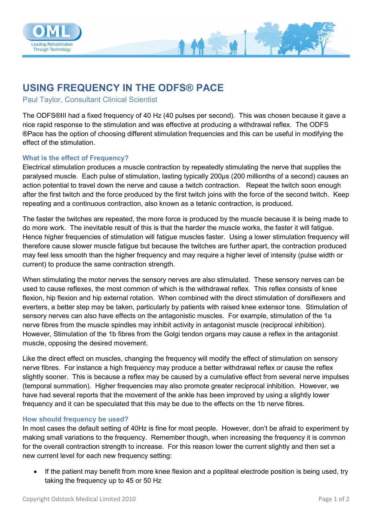

## **USING FREQUENCY IN THE ODFS® PACE**

Paul Taylor, Consultant Clinical Scientist

The ODFS®III had a fixed frequency of 40 Hz (40 pulses per second). This was chosen because it gave a nice rapid response to the stimulation and was effective at producing a withdrawal reflex. The ODFS ®Pace has the option of choosing different stimulation frequencies and this can be useful in modifying the effect of the stimulation.

## **What is the effect of Frequency?**

Electrical stimulation produces a muscle contraction by repeatedly stimulating the nerve that supplies the paralysed muscle. Each pulse of stimulation, lasting typically 200μs (200 millionths of a second) causes an action potential to travel down the nerve and cause a twitch contraction. Repeat the twitch soon enough after the first twitch and the force produced by the first twitch joins with the force of the second twitch. Keep repeating and a continuous contraction, also known as a tetanic contraction, is produced.

The faster the twitches are repeated, the more force is produced by the muscle because it is being made to do more work. The inevitable result of this is that the harder the muscle works, the faster it will fatigue. Hence higher frequencies of stimulation will fatigue muscles faster. Using a lower stimulation frequency will therefore cause slower muscle fatigue but because the twitches are further apart, the contraction produced may feel less smooth than the higher frequency and may require a higher level of intensity (pulse width or current) to produce the same contraction strength.

When stimulating the motor nerves the sensory nerves are also stimulated. These sensory nerves can be used to cause reflexes, the most common of which is the withdrawal reflex. This reflex consists of knee flexion, hip flexion and hip external rotation. When combined with the direct stimulation of dorsiflexers and everters, a better step may be taken, particularly by patients with raised knee extensor tone. Stimulation of sensory nerves can also have effects on the antagonistic muscles. For example, stimulation of the 1a nerve fibres from the muscle spindles may inhibit activity in antagonist muscle (reciprocal inhibition). However, Stimulation of the 1b fibres from the Golgi tendon organs may cause a reflex in the antagonist muscle, opposing the desired movement.

Like the direct effect on muscles, changing the frequency will modify the effect of stimulation on sensory nerve fibres. For instance a high frequency may produce a better withdrawal reflex or cause the reflex slightly sooner. This is because a reflex may be caused by a cumulative effect from several nerve impulses (temporal summation). Higher frequencies may also promote greater reciprocal inhibition. However, we have had several reports that the movement of the ankle has been improved by using a slightly lower frequency and it can be speculated that this may be due to the effects on the 1b nerve fibres.

## **How should frequency be used?**

In most cases the default setting of 40Hz is fine for most people. However, don't be afraid to experiment by making small variations to the frequency. Remember though, when increasing the frequency it is common for the overall contraction strength to increase. For this reason lower the current slightly and then set a new current level for each new frequency setting:

 If the patient may benefit from more knee flexion and a popliteal electrode position is being used, try taking the frequency up to 45 or 50 Hz